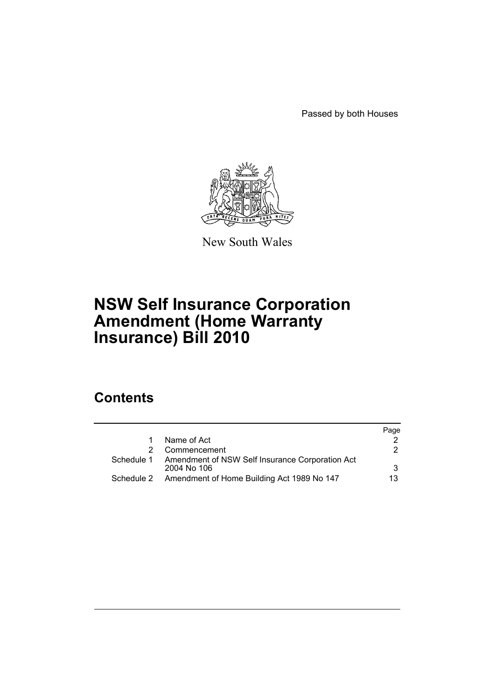Passed by both Houses



New South Wales

# **NSW Self Insurance Corporation Amendment (Home Warranty Insurance) Bill 2010**

# **Contents**

|            |                                                                | Page |
|------------|----------------------------------------------------------------|------|
|            | Name of Act                                                    |      |
|            | Commencement                                                   | 2    |
| Schedule 1 | Amendment of NSW Self Insurance Corporation Act<br>2004 No 106 | 3    |
| Schedule 2 | Amendment of Home Building Act 1989 No 147                     | 13.  |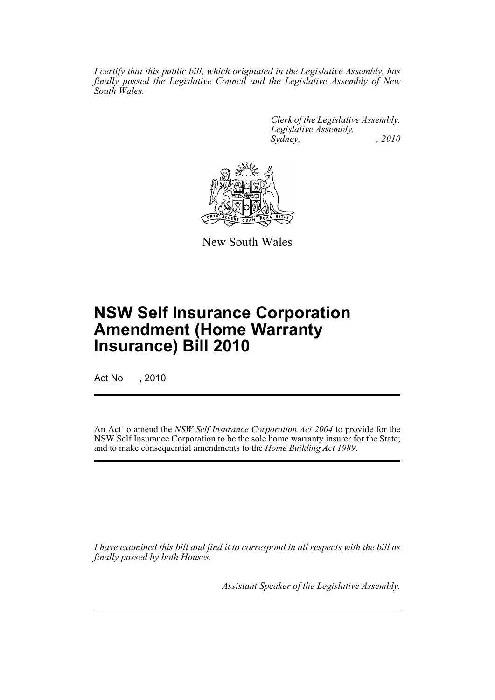*I certify that this public bill, which originated in the Legislative Assembly, has finally passed the Legislative Council and the Legislative Assembly of New South Wales.*

> *Clerk of the Legislative Assembly. Legislative Assembly, Sydney, , 2010*



New South Wales

# **NSW Self Insurance Corporation Amendment (Home Warranty Insurance) Bill 2010**

Act No , 2010

An Act to amend the *NSW Self Insurance Corporation Act 2004* to provide for the NSW Self Insurance Corporation to be the sole home warranty insurer for the State; and to make consequential amendments to the *Home Building Act 1989*.

*I have examined this bill and find it to correspond in all respects with the bill as finally passed by both Houses.*

*Assistant Speaker of the Legislative Assembly.*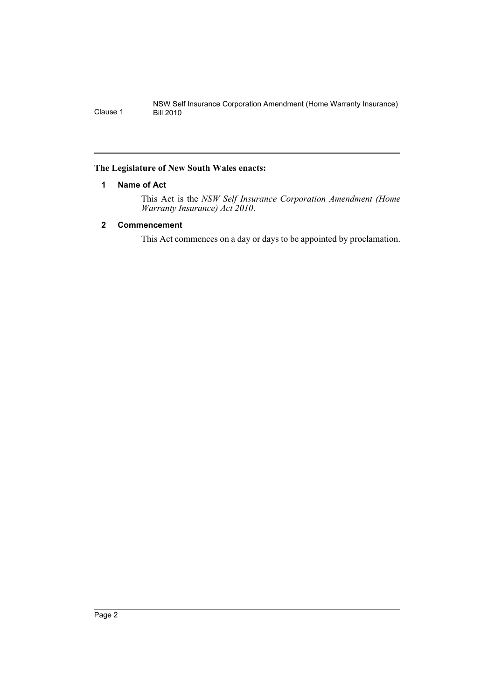# <span id="page-2-0"></span>**The Legislature of New South Wales enacts:**

# **1 Name of Act**

This Act is the *NSW Self Insurance Corporation Amendment (Home Warranty Insurance) Act 2010*.

# <span id="page-2-1"></span>**2 Commencement**

This Act commences on a day or days to be appointed by proclamation.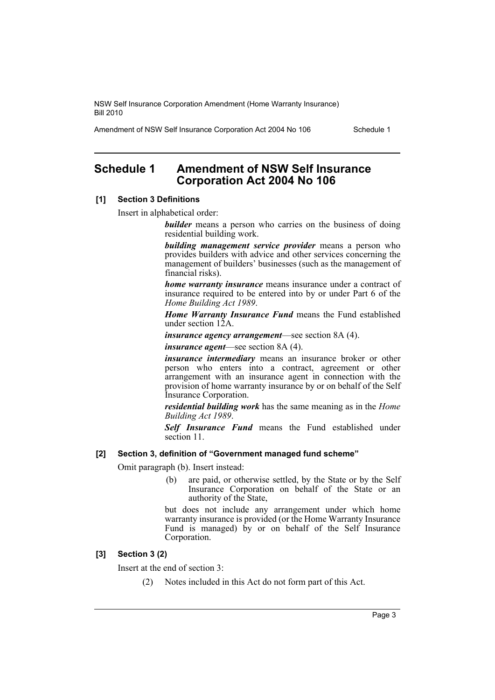Amendment of NSW Self Insurance Corporation Act 2004 No 106 Schedule 1

# <span id="page-3-0"></span>**Schedule 1 Amendment of NSW Self Insurance Corporation Act 2004 No 106**

#### **[1] Section 3 Definitions**

Insert in alphabetical order:

*builder* means a person who carries on the business of doing residential building work.

*building management service provider* means a person who provides builders with advice and other services concerning the management of builders' businesses (such as the management of financial risks).

*home warranty insurance* means insurance under a contract of insurance required to be entered into by or under Part 6 of the *Home Building Act 1989*.

*Home Warranty Insurance Fund* means the Fund established under section 12A.

*insurance agency arrangement*—see section 8A (4).

*insurance agent*—see section 8A (4).

*insurance intermediary* means an insurance broker or other person who enters into a contract, agreement or other arrangement with an insurance agent in connection with the provision of home warranty insurance by or on behalf of the Self Insurance Corporation.

*residential building work* has the same meaning as in the *Home Building Act 1989*.

*Self Insurance Fund* means the Fund established under section 11.

#### **[2] Section 3, definition of "Government managed fund scheme"**

Omit paragraph (b). Insert instead:

(b) are paid, or otherwise settled, by the State or by the Self Insurance Corporation on behalf of the State or an authority of the State,

but does not include any arrangement under which home warranty insurance is provided (or the Home Warranty Insurance Fund is managed) by or on behalf of the Self Insurance Corporation.

# **[3] Section 3 (2)**

Insert at the end of section 3:

(2) Notes included in this Act do not form part of this Act.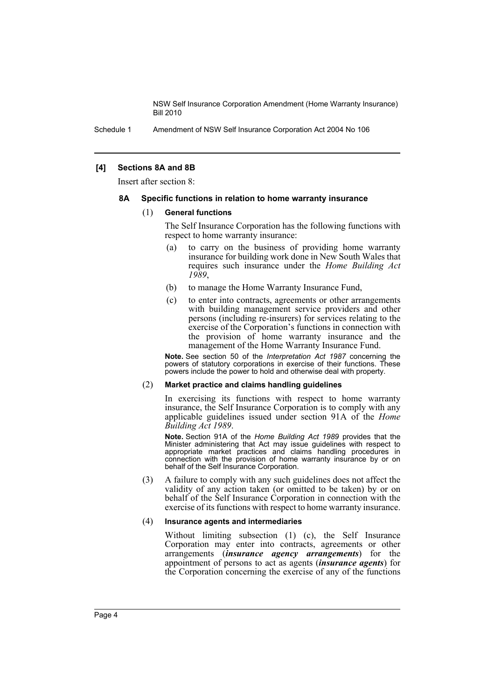Schedule 1 Amendment of NSW Self Insurance Corporation Act 2004 No 106

#### **[4] Sections 8A and 8B**

Insert after section 8:

#### **8A Specific functions in relation to home warranty insurance**

#### (1) **General functions**

The Self Insurance Corporation has the following functions with respect to home warranty insurance:

- (a) to carry on the business of providing home warranty insurance for building work done in New South Wales that requires such insurance under the *Home Building Act 1989*,
- (b) to manage the Home Warranty Insurance Fund,
- (c) to enter into contracts, agreements or other arrangements with building management service providers and other persons (including re-insurers) for services relating to the exercise of the Corporation's functions in connection with the provision of home warranty insurance and the management of the Home Warranty Insurance Fund.

**Note.** See section 50 of the *Interpretation Act 1987* concerning the powers of statutory corporations in exercise of their functions. These powers include the power to hold and otherwise deal with property.

#### (2) **Market practice and claims handling guidelines**

In exercising its functions with respect to home warranty insurance, the Self Insurance Corporation is to comply with any applicable guidelines issued under section 91A of the *Home Building Act 1989*.

**Note.** Section 91A of the *Home Building Act 1989* provides that the Minister administering that Act may issue guidelines with respect to appropriate market practices and claims handling procedures in connection with the provision of home warranty insurance by or on behalf of the Self Insurance Corporation.

(3) A failure to comply with any such guidelines does not affect the validity of any action taken (or omitted to be taken) by or on behalf of the Self Insurance Corporation in connection with the exercise of its functions with respect to home warranty insurance.

#### (4) **Insurance agents and intermediaries**

Without limiting subsection (1) (c), the Self Insurance Corporation may enter into contracts, agreements or other arrangements (*insurance agency arrangements*) for the appointment of persons to act as agents (*insurance agents*) for the Corporation concerning the exercise of any of the functions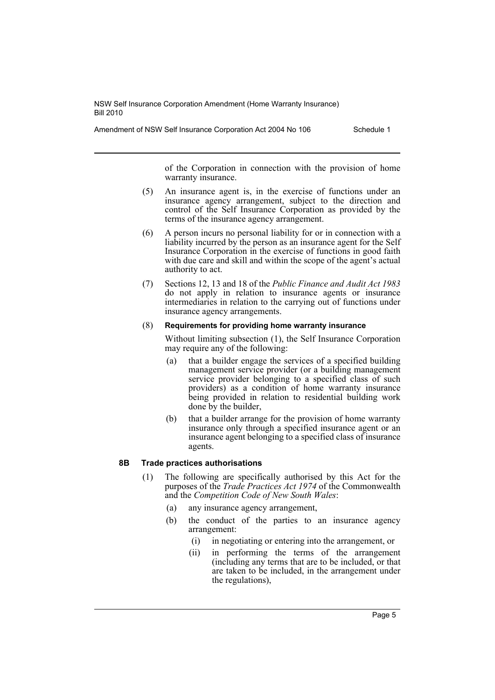Amendment of NSW Self Insurance Corporation Act 2004 No 106 Schedule 1

of the Corporation in connection with the provision of home warranty insurance.

- (5) An insurance agent is, in the exercise of functions under an insurance agency arrangement, subject to the direction and control of the Self Insurance Corporation as provided by the terms of the insurance agency arrangement.
- (6) A person incurs no personal liability for or in connection with a liability incurred by the person as an insurance agent for the Self Insurance Corporation in the exercise of functions in good faith with due care and skill and within the scope of the agent's actual authority to act.
- (7) Sections 12, 13 and 18 of the *Public Finance and Audit Act 1983* do not apply in relation to insurance agents or insurance intermediaries in relation to the carrying out of functions under insurance agency arrangements.

#### (8) **Requirements for providing home warranty insurance**

Without limiting subsection (1), the Self Insurance Corporation may require any of the following:

- (a) that a builder engage the services of a specified building management service provider (or a building management service provider belonging to a specified class of such providers) as a condition of home warranty insurance being provided in relation to residential building work done by the builder,
- (b) that a builder arrange for the provision of home warranty insurance only through a specified insurance agent or an insurance agent belonging to a specified class of insurance agents.

# **8B Trade practices authorisations**

- (1) The following are specifically authorised by this Act for the purposes of the *Trade Practices Act 1974* of the Commonwealth and the *Competition Code of New South Wales*:
	- (a) any insurance agency arrangement,
	- (b) the conduct of the parties to an insurance agency arrangement:
		- (i) in negotiating or entering into the arrangement, or
		- (ii) in performing the terms of the arrangement (including any terms that are to be included, or that are taken to be included, in the arrangement under the regulations),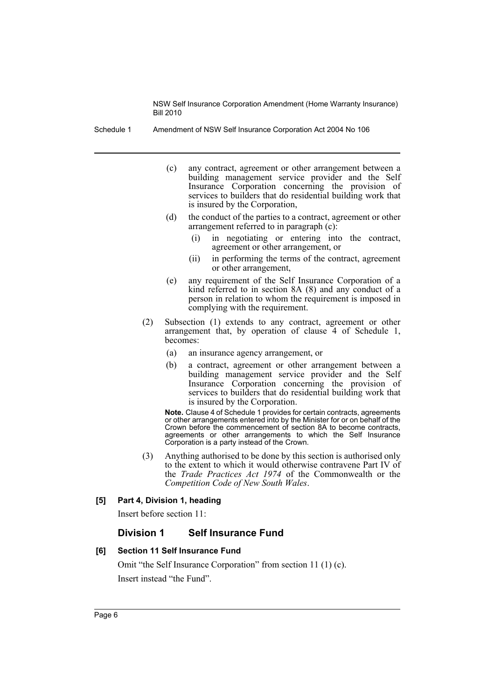Schedule 1 Amendment of NSW Self Insurance Corporation Act 2004 No 106

- (c) any contract, agreement or other arrangement between a building management service provider and the Self Insurance Corporation concerning the provision of services to builders that do residential building work that is insured by the Corporation,
- (d) the conduct of the parties to a contract, agreement or other arrangement referred to in paragraph (c):
	- (i) in negotiating or entering into the contract, agreement or other arrangement, or
	- (ii) in performing the terms of the contract, agreement or other arrangement,
- (e) any requirement of the Self Insurance Corporation of a kind referred to in section 8A (8) and any conduct of a person in relation to whom the requirement is imposed in complying with the requirement.
- (2) Subsection (1) extends to any contract, agreement or other arrangement that, by operation of clause 4 of Schedule 1, becomes:
	- (a) an insurance agency arrangement, or
	- (b) a contract, agreement or other arrangement between a building management service provider and the Self Insurance Corporation concerning the provision of services to builders that do residential building work that is insured by the Corporation.

**Note.** Clause 4 of Schedule 1 provides for certain contracts, agreements or other arrangements entered into by the Minister for or on behalf of the Crown before the commencement of section 8A to become contracts, agreements or other arrangements to which the Self Insurance Corporation is a party instead of the Crown.

(3) Anything authorised to be done by this section is authorised only to the extent to which it would otherwise contravene Part IV of the *Trade Practices Act 1974* of the Commonwealth or the *Competition Code of New South Wales*.

# **[5] Part 4, Division 1, heading**

Insert before section 11:

# **Division 1 Self Insurance Fund**

#### **[6] Section 11 Self Insurance Fund**

Omit "the Self Insurance Corporation" from section 11 (1) (c). Insert instead "the Fund".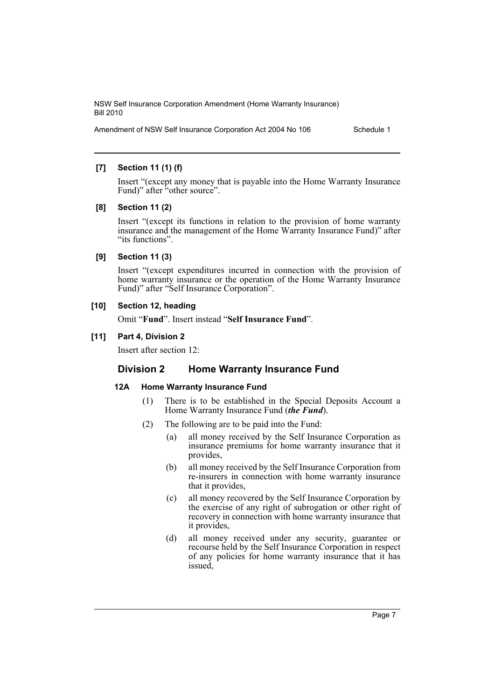Amendment of NSW Self Insurance Corporation Act 2004 No 106 Schedule 1

# **[7] Section 11 (1) (f)**

Insert "(except any money that is payable into the Home Warranty Insurance Fund)" after "other source".

# **[8] Section 11 (2)**

Insert "(except its functions in relation to the provision of home warranty insurance and the management of the Home Warranty Insurance Fund)" after "its functions".

# **[9] Section 11 (3)**

Insert "(except expenditures incurred in connection with the provision of home warranty insurance or the operation of the Home Warranty Insurance Fund)" after "Self Insurance Corporation".

# **[10] Section 12, heading**

Omit "**Fund**". Insert instead "**Self Insurance Fund**".

# **[11] Part 4, Division 2**

Insert after section 12:

# **Division 2 Home Warranty Insurance Fund**

# **12A Home Warranty Insurance Fund**

- (1) There is to be established in the Special Deposits Account a Home Warranty Insurance Fund (*the Fund*).
- (2) The following are to be paid into the Fund:
	- (a) all money received by the Self Insurance Corporation as insurance premiums for home warranty insurance that it provides,
	- (b) all money received by the Self Insurance Corporation from re-insurers in connection with home warranty insurance that it provides,
	- (c) all money recovered by the Self Insurance Corporation by the exercise of any right of subrogation or other right of recovery in connection with home warranty insurance that it provides,
	- (d) all money received under any security, guarantee or recourse held by the Self Insurance Corporation in respect of any policies for home warranty insurance that it has issued,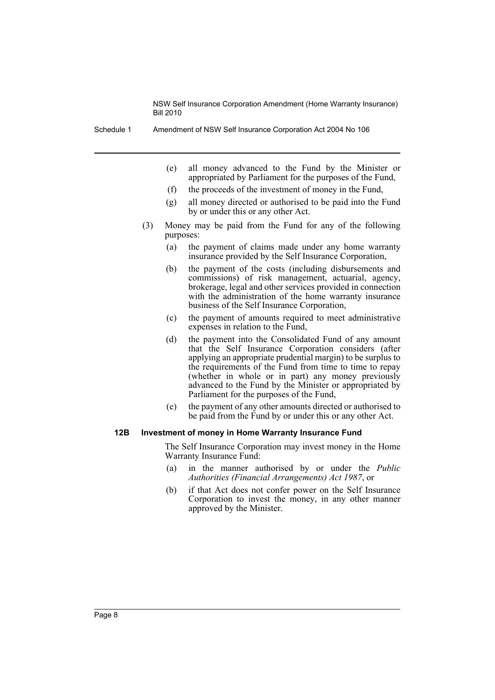Schedule 1 Amendment of NSW Self Insurance Corporation Act 2004 No 106

- (e) all money advanced to the Fund by the Minister or appropriated by Parliament for the purposes of the Fund,
- (f) the proceeds of the investment of money in the Fund,
- (g) all money directed or authorised to be paid into the Fund by or under this or any other Act.
- (3) Money may be paid from the Fund for any of the following purposes:
	- (a) the payment of claims made under any home warranty insurance provided by the Self Insurance Corporation,
	- (b) the payment of the costs (including disbursements and commissions) of risk management, actuarial, agency, brokerage, legal and other services provided in connection with the administration of the home warranty insurance business of the Self Insurance Corporation,
	- (c) the payment of amounts required to meet administrative expenses in relation to the Fund,
	- (d) the payment into the Consolidated Fund of any amount that the Self Insurance Corporation considers (after applying an appropriate prudential margin) to be surplus to the requirements of the Fund from time to time to repay (whether in whole or in part) any money previously advanced to the Fund by the Minister or appropriated by Parliament for the purposes of the Fund,
	- (e) the payment of any other amounts directed or authorised to be paid from the Fund by or under this or any other Act.

#### **12B Investment of money in Home Warranty Insurance Fund**

The Self Insurance Corporation may invest money in the Home Warranty Insurance Fund:

- (a) in the manner authorised by or under the *Public Authorities (Financial Arrangements) Act 1987*, or
- (b) if that Act does not confer power on the Self Insurance Corporation to invest the money, in any other manner approved by the Minister.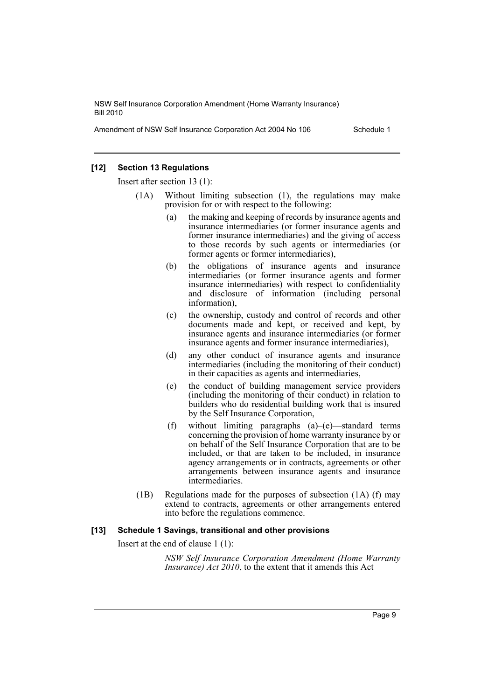Amendment of NSW Self Insurance Corporation Act 2004 No 106 Schedule 1

#### **[12] Section 13 Regulations**

Insert after section 13 (1):

- (1A) Without limiting subsection (1), the regulations may make provision for or with respect to the following:
	- (a) the making and keeping of records by insurance agents and insurance intermediaries (or former insurance agents and former insurance intermediaries) and the giving of access to those records by such agents or intermediaries (or former agents or former intermediaries),
	- (b) the obligations of insurance agents and insurance intermediaries (or former insurance agents and former insurance intermediaries) with respect to confidentiality and disclosure of information (including personal information),
	- (c) the ownership, custody and control of records and other documents made and kept, or received and kept, by insurance agents and insurance intermediaries (or former insurance agents and former insurance intermediaries),
	- (d) any other conduct of insurance agents and insurance intermediaries (including the monitoring of their conduct) in their capacities as agents and intermediaries,
	- (e) the conduct of building management service providers (including the monitoring of their conduct) in relation to builders who do residential building work that is insured by the Self Insurance Corporation,
	- (f) without limiting paragraphs (a)–(e)—standard terms concerning the provision of home warranty insurance by or on behalf of the Self Insurance Corporation that are to be included, or that are taken to be included, in insurance agency arrangements or in contracts, agreements or other arrangements between insurance agents and insurance intermediaries.
- (1B) Regulations made for the purposes of subsection (1A) (f) may extend to contracts, agreements or other arrangements entered into before the regulations commence.

#### **[13] Schedule 1 Savings, transitional and other provisions**

Insert at the end of clause 1 (1):

*NSW Self Insurance Corporation Amendment (Home Warranty Insurance) Act 2010*, to the extent that it amends this Act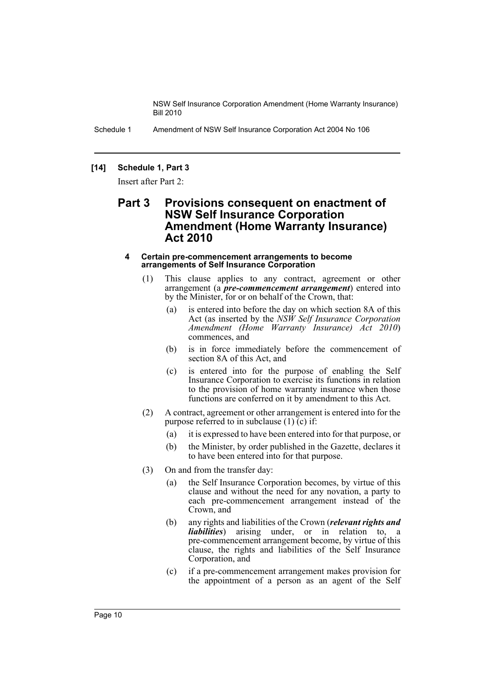Schedule 1 Amendment of NSW Self Insurance Corporation Act 2004 No 106

#### **[14] Schedule 1, Part 3**

Insert after Part 2:

# **Part 3 Provisions consequent on enactment of NSW Self Insurance Corporation Amendment (Home Warranty Insurance) Act 2010**

#### **4 Certain pre-commencement arrangements to become arrangements of Self Insurance Corporation**

- (1) This clause applies to any contract, agreement or other arrangement (a *pre-commencement arrangement*) entered into by the Minister, for or on behalf of the Crown, that:
	- (a) is entered into before the day on which section 8A of this Act (as inserted by the *NSW Self Insurance Corporation Amendment (Home Warranty Insurance) Act 2010*) commences, and
	- (b) is in force immediately before the commencement of section 8A of this Act, and
	- (c) is entered into for the purpose of enabling the Self Insurance Corporation to exercise its functions in relation to the provision of home warranty insurance when those functions are conferred on it by amendment to this Act.
- (2) A contract, agreement or other arrangement is entered into for the purpose referred to in subclause  $(1)$  (c) if:
	- (a) it is expressed to have been entered into for that purpose, or
	- (b) the Minister, by order published in the Gazette, declares it to have been entered into for that purpose.
- (3) On and from the transfer day:
	- (a) the Self Insurance Corporation becomes, by virtue of this clause and without the need for any novation, a party to each pre-commencement arrangement instead of the Crown, and
	- (b) any rights and liabilities of the Crown (*relevant rights and liabilities*) arising under, or in relation to, a pre-commencement arrangement become, by virtue of this clause, the rights and liabilities of the Self Insurance Corporation, and
	- (c) if a pre-commencement arrangement makes provision for the appointment of a person as an agent of the Self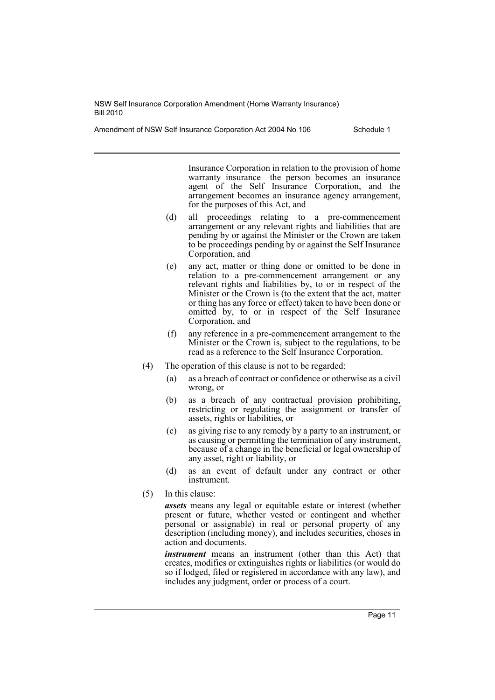Amendment of NSW Self Insurance Corporation Act 2004 No 106 Schedule 1

Insurance Corporation in relation to the provision of home warranty insurance—the person becomes an insurance agent of the Self Insurance Corporation, and the arrangement becomes an insurance agency arrangement, for the purposes of this Act, and

- (d) all proceedings relating to a pre-commencement arrangement or any relevant rights and liabilities that are pending by or against the Minister or the Crown are taken to be proceedings pending by or against the Self Insurance Corporation, and
- (e) any act, matter or thing done or omitted to be done in relation to a pre-commencement arrangement or any relevant rights and liabilities by, to or in respect of the Minister or the Crown is (to the extent that the act, matter or thing has any force or effect) taken to have been done or omitted by, to or in respect of the Self Insurance Corporation, and
- (f) any reference in a pre-commencement arrangement to the Minister or the Crown is, subject to the regulations, to be read as a reference to the Self Insurance Corporation.
- (4) The operation of this clause is not to be regarded:
	- (a) as a breach of contract or confidence or otherwise as a civil wrong, or
	- (b) as a breach of any contractual provision prohibiting, restricting or regulating the assignment or transfer of assets, rights or liabilities, or
	- (c) as giving rise to any remedy by a party to an instrument, or as causing or permitting the termination of any instrument, because of a change in the beneficial or legal ownership of any asset, right or liability, or
	- (d) as an event of default under any contract or other instrument.
- (5) In this clause:

*assets* means any legal or equitable estate or interest (whether present or future, whether vested or contingent and whether personal or assignable) in real or personal property of any description (including money), and includes securities, choses in action and documents.

*instrument* means an instrument (other than this Act) that creates, modifies or extinguishes rights or liabilities (or would do so if lodged, filed or registered in accordance with any law), and includes any judgment, order or process of a court.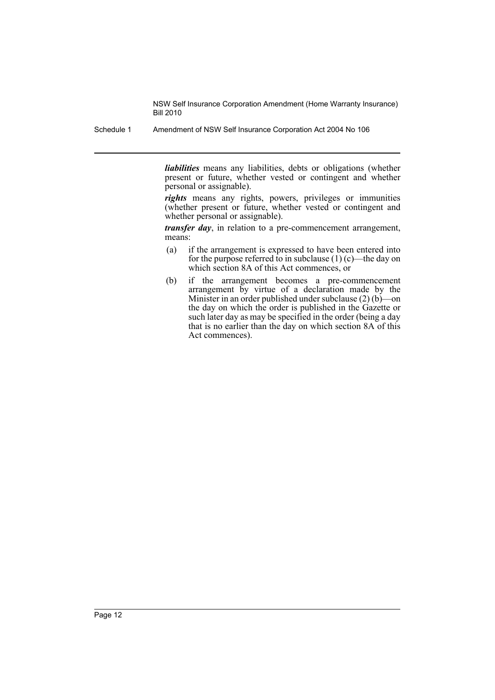Schedule 1 Amendment of NSW Self Insurance Corporation Act 2004 No 106

*liabilities* means any liabilities, debts or obligations (whether present or future, whether vested or contingent and whether personal or assignable).

*rights* means any rights, powers, privileges or immunities (whether present or future, whether vested or contingent and whether personal or assignable).

*transfer day*, in relation to a pre-commencement arrangement, means:

- (a) if the arrangement is expressed to have been entered into for the purpose referred to in subclause  $(1)$  (c)—the day on which section 8A of this Act commences, or
- (b) if the arrangement becomes a pre-commencement arrangement by virtue of a declaration made by the Minister in an order published under subclause (2) (b)—on the day on which the order is published in the Gazette or such later day as may be specified in the order (being a day that is no earlier than the day on which section 8A of this Act commences).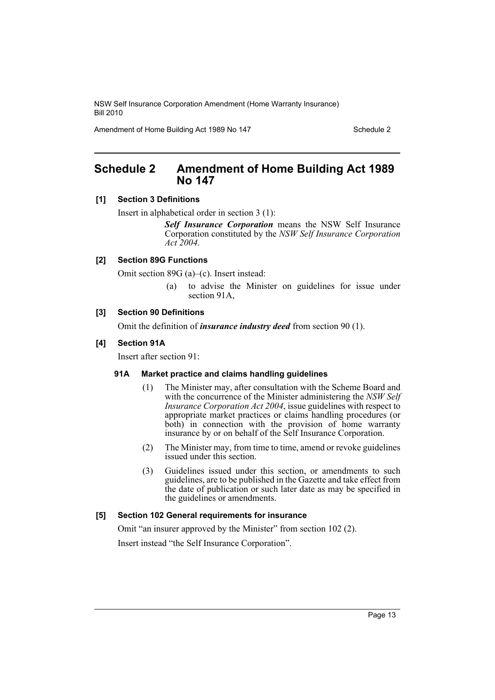Amendment of Home Building Act 1989 No 147

# <span id="page-13-0"></span>**Schedule 2 Amendment of Home Building Act 1989 No 147**

# **[1] Section 3 Definitions**

Insert in alphabetical order in section 3 (1):

*Self Insurance Corporation* means the NSW Self Insurance Corporation constituted by the *NSW Self Insurance Corporation Act 2004*.

# **[2] Section 89G Functions**

Omit section 89G (a)–(c). Insert instead:

(a) to advise the Minister on guidelines for issue under section 91A,

# **[3] Section 90 Definitions**

Omit the definition of *insurance industry deed* from section 90 (1).

# **[4] Section 91A**

Insert after section 91:

# **91A Market practice and claims handling guidelines**

- (1) The Minister may, after consultation with the Scheme Board and with the concurrence of the Minister administering the *NSW Self Insurance Corporation Act 2004*, issue guidelines with respect to appropriate market practices or claims handling procedures (or both) in connection with the provision of home warranty insurance by or on behalf of the Self Insurance Corporation.
- (2) The Minister may, from time to time, amend or revoke guidelines issued under this section.
- (3) Guidelines issued under this section, or amendments to such guidelines, are to be published in the Gazette and take effect from the date of publication or such later date as may be specified in the guidelines or amendments.

# **[5] Section 102 General requirements for insurance**

Omit "an insurer approved by the Minister" from section 102 (2). Insert instead "the Self Insurance Corporation".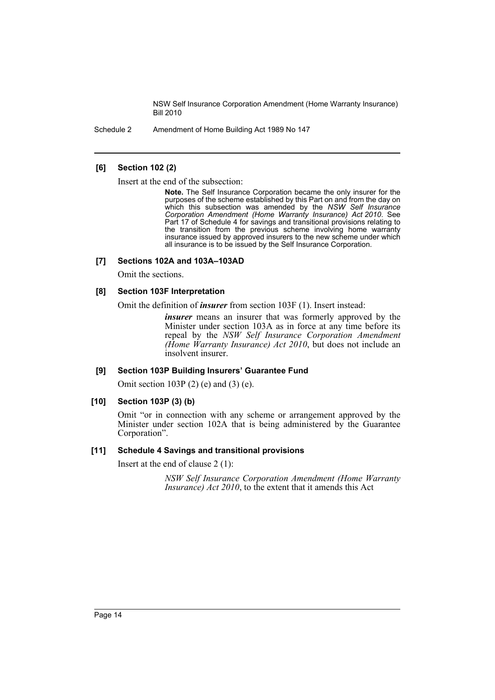Schedule 2 Amendment of Home Building Act 1989 No 147

#### **[6] Section 102 (2)**

Insert at the end of the subsection:

**Note.** The Self Insurance Corporation became the only insurer for the purposes of the scheme established by this Part on and from the day on which this subsection was amended by the *NSW Self Insurance Corporation Amendment (Home Warranty Insurance) Act 2010*. See Part 17 of Schedule 4 for savings and transitional provisions relating to the transition from the previous scheme involving home warranty insurance issued by approved insurers to the new scheme under which all insurance is to be issued by the Self Insurance Corporation.

#### **[7] Sections 102A and 103A–103AD**

Omit the sections.

#### **[8] Section 103F Interpretation**

Omit the definition of *insurer* from section 103F (1). Insert instead:

*insurer* means an insurer that was formerly approved by the Minister under section 103A as in force at any time before its repeal by the *NSW Self Insurance Corporation Amendment (Home Warranty Insurance) Act 2010*, but does not include an insolvent insurer.

#### **[9] Section 103P Building Insurers' Guarantee Fund**

Omit section 103P (2) (e) and (3) (e).

#### **[10] Section 103P (3) (b)**

Omit "or in connection with any scheme or arrangement approved by the Minister under section 102A that is being administered by the Guarantee Corporation".

#### **[11] Schedule 4 Savings and transitional provisions**

Insert at the end of clause 2 (1):

*NSW Self Insurance Corporation Amendment (Home Warranty Insurance*) *Act 2010*, to the extent that it amends this Act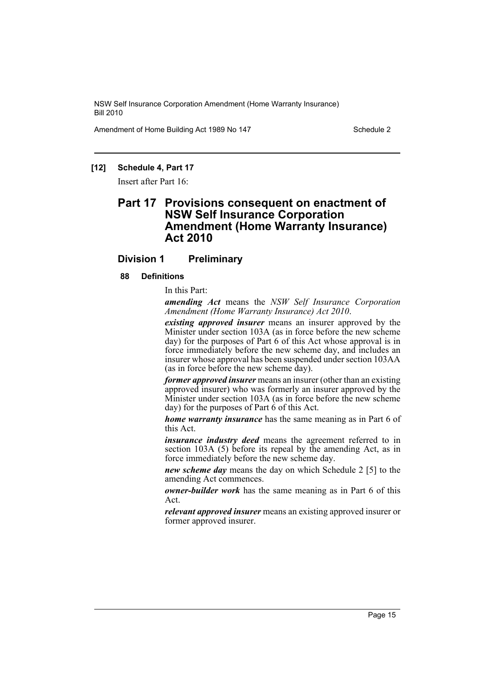Amendment of Home Building Act 1989 No 147

#### **[12] Schedule 4, Part 17**

Insert after Part 16:

# **Part 17 Provisions consequent on enactment of NSW Self Insurance Corporation Amendment (Home Warranty Insurance) Act 2010**

# **Division 1 Preliminary**

#### **88 Definitions**

In this Part:

*amending Act* means the *NSW Self Insurance Corporation Amendment (Home Warranty Insurance) Act 2010*.

*existing approved insurer* means an insurer approved by the Minister under section 103A (as in force before the new scheme day) for the purposes of Part 6 of this Act whose approval is in force immediately before the new scheme day, and includes an insurer whose approval has been suspended under section 103AA (as in force before the new scheme day).

*former approved insurer* means an insurer (other than an existing approved insurer) who was formerly an insurer approved by the Minister under section 103A (as in force before the new scheme day) for the purposes of Part 6 of this Act.

*home warranty insurance* has the same meaning as in Part 6 of this Act.

*insurance industry deed* means the agreement referred to in section 103A (5) before its repeal by the amending Act, as in force immediately before the new scheme day.

*new scheme day* means the day on which Schedule 2 [5] to the amending Act commences.

*owner-builder work* has the same meaning as in Part 6 of this Act.

*relevant approved insurer* means an existing approved insurer or former approved insurer.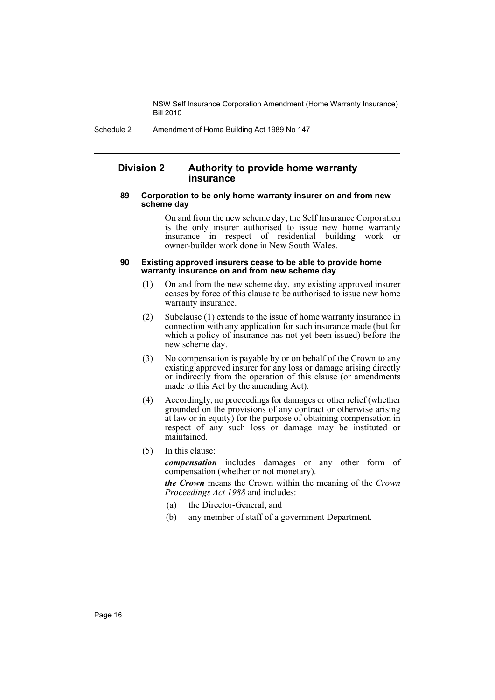Schedule 2 Amendment of Home Building Act 1989 No 147

# **Division 2 Authority to provide home warranty insurance**

#### **89 Corporation to be only home warranty insurer on and from new scheme day**

On and from the new scheme day, the Self Insurance Corporation is the only insurer authorised to issue new home warranty insurance in respect of residential building work or owner-builder work done in New South Wales.

#### **90 Existing approved insurers cease to be able to provide home warranty insurance on and from new scheme day**

- (1) On and from the new scheme day, any existing approved insurer ceases by force of this clause to be authorised to issue new home warranty insurance.
- (2) Subclause (1) extends to the issue of home warranty insurance in connection with any application for such insurance made (but for which a policy of insurance has not yet been issued) before the new scheme day.
- (3) No compensation is payable by or on behalf of the Crown to any existing approved insurer for any loss or damage arising directly or indirectly from the operation of this clause (or amendments made to this Act by the amending Act).
- (4) Accordingly, no proceedings for damages or other relief (whether grounded on the provisions of any contract or otherwise arising at law or in equity) for the purpose of obtaining compensation in respect of any such loss or damage may be instituted or maintained.
- (5) In this clause:

*compensation* includes damages or any other form of compensation (whether or not monetary).

*the Crown* means the Crown within the meaning of the *Crown Proceedings Act 1988* and includes:

- (a) the Director-General, and
- (b) any member of staff of a government Department.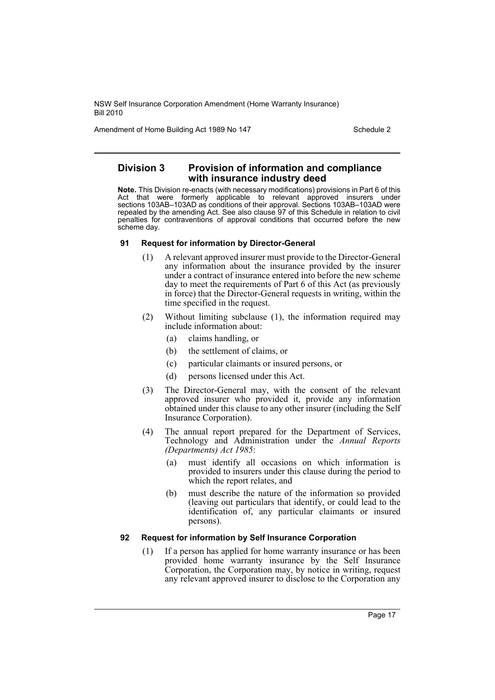Amendment of Home Building Act 1989 No 147 Schedule 2

# **Division 3 Provision of information and compliance with insurance industry deed**

**Note.** This Division re-enacts (with necessary modifications) provisions in Part 6 of this Act that were formerly applicable to relevant approved insurers under sections 103AB–103AD as conditions of their approval. Sections 103AB–103AD were repealed by the amending Act. See also clause 97 of this Schedule in relation to civil penalties for contraventions of approval conditions that occurred before the new scheme day.

#### **91 Request for information by Director-General**

- (1) A relevant approved insurer must provide to the Director-General any information about the insurance provided by the insurer under a contract of insurance entered into before the new scheme day to meet the requirements of Part 6 of this Act (as previously in force) that the Director-General requests in writing, within the time specified in the request.
- (2) Without limiting subclause (1), the information required may include information about:
	- (a) claims handling, or
	- (b) the settlement of claims, or
	- (c) particular claimants or insured persons, or
	- (d) persons licensed under this Act.
- (3) The Director-General may, with the consent of the relevant approved insurer who provided it, provide any information obtained under this clause to any other insurer (including the Self Insurance Corporation).
- (4) The annual report prepared for the Department of Services, Technology and Administration under the *Annual Reports (Departments) Act 1985*:
	- (a) must identify all occasions on which information is provided to insurers under this clause during the period to which the report relates, and
	- (b) must describe the nature of the information so provided (leaving out particulars that identify, or could lead to the identification of, any particular claimants or insured persons).

# **92 Request for information by Self Insurance Corporation**

(1) If a person has applied for home warranty insurance or has been provided home warranty insurance by the Self Insurance Corporation, the Corporation may, by notice in writing, request any relevant approved insurer to disclose to the Corporation any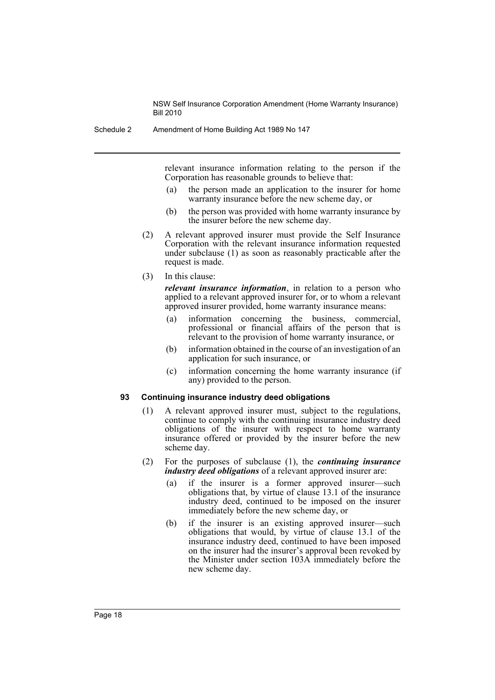Schedule 2 Amendment of Home Building Act 1989 No 147

relevant insurance information relating to the person if the Corporation has reasonable grounds to believe that:

- (a) the person made an application to the insurer for home warranty insurance before the new scheme day, or
- (b) the person was provided with home warranty insurance by the insurer before the new scheme day.
- (2) A relevant approved insurer must provide the Self Insurance Corporation with the relevant insurance information requested under subclause (1) as soon as reasonably practicable after the request is made.

(3) In this clause:

*relevant insurance information*, in relation to a person who applied to a relevant approved insurer for, or to whom a relevant approved insurer provided, home warranty insurance means:

- (a) information concerning the business, commercial, professional or financial affairs of the person that is relevant to the provision of home warranty insurance, or
- (b) information obtained in the course of an investigation of an application for such insurance, or
- (c) information concerning the home warranty insurance (if any) provided to the person.

#### **93 Continuing insurance industry deed obligations**

- (1) A relevant approved insurer must, subject to the regulations, continue to comply with the continuing insurance industry deed obligations of the insurer with respect to home warranty insurance offered or provided by the insurer before the new scheme day.
- (2) For the purposes of subclause (1), the *continuing insurance industry deed obligations* of a relevant approved insurer are:
	- (a) if the insurer is a former approved insurer—such obligations that, by virtue of clause 13.1 of the insurance industry deed, continued to be imposed on the insurer immediately before the new scheme day, or
	- (b) if the insurer is an existing approved insurer—such obligations that would, by virtue of clause 13.1 of the insurance industry deed, continued to have been imposed on the insurer had the insurer's approval been revoked by the Minister under section 103A immediately before the new scheme day.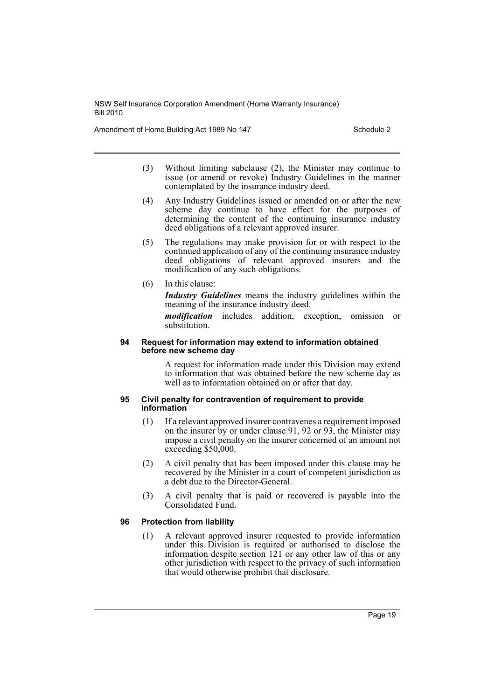Amendment of Home Building Act 1989 No 147 Schedule 2

- (3) Without limiting subclause (2), the Minister may continue to issue (or amend or revoke) Industry Guidelines in the manner contemplated by the insurance industry deed.
- (4) Any Industry Guidelines issued or amended on or after the new scheme day continue to have effect for the purposes of determining the content of the continuing insurance industry deed obligations of a relevant approved insurer.
- (5) The regulations may make provision for or with respect to the continued application of any of the continuing insurance industry deed obligations of relevant approved insurers and the modification of any such obligations.
- (6) In this clause:

*Industry Guidelines* means the industry guidelines within the meaning of the insurance industry deed.

*modification* includes addition, exception, omission or substitution.

#### **94 Request for information may extend to information obtained before new scheme day**

A request for information made under this Division may extend to information that was obtained before the new scheme day as well as to information obtained on or after that day.

#### **95 Civil penalty for contravention of requirement to provide information**

- (1) If a relevant approved insurer contravenes a requirement imposed on the insurer by or under clause 91, 92 or 93, the Minister may impose a civil penalty on the insurer concerned of an amount not exceeding \$50,000.
- (2) A civil penalty that has been imposed under this clause may be recovered by the Minister in a court of competent jurisdiction as a debt due to the Director-General.
- (3) A civil penalty that is paid or recovered is payable into the Consolidated Fund.

# **96 Protection from liability**

(1) A relevant approved insurer requested to provide information under this Division is required or authorised to disclose the information despite section 121 or any other law of this or any other jurisdiction with respect to the privacy of such information that would otherwise prohibit that disclosure.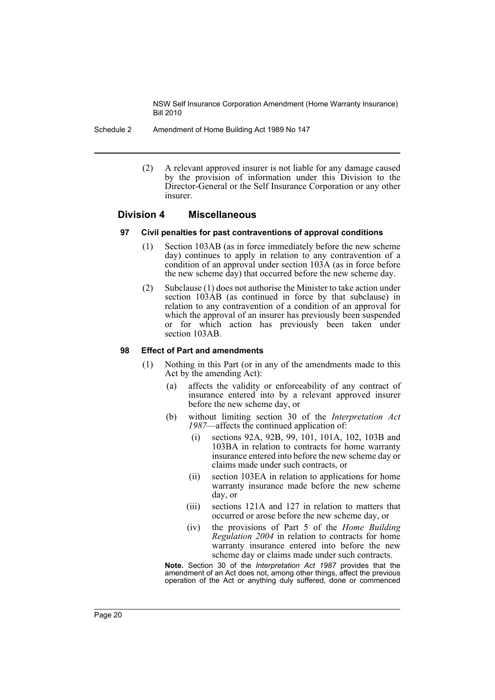Schedule 2 Amendment of Home Building Act 1989 No 147

(2) A relevant approved insurer is not liable for any damage caused by the provision of information under this Division to the Director-General or the Self Insurance Corporation or any other insurer.

# **Division 4 Miscellaneous**

#### **97 Civil penalties for past contraventions of approval conditions**

- (1) Section 103AB (as in force immediately before the new scheme day) continues to apply in relation to any contravention of a condition of an approval under section 103A (as in force before the new scheme day) that occurred before the new scheme day.
- (2) Subclause (1) does not authorise the Minister to take action under section  $10\overline{3}$ **AB** (as continued in force by that subclause) in relation to any contravention of a condition of an approval for which the approval of an insurer has previously been suspended or for which action has previously been taken under section 103AB.

#### **98 Effect of Part and amendments**

- (1) Nothing in this Part (or in any of the amendments made to this Act by the amending Act):
	- (a) affects the validity or enforceability of any contract of insurance entered into by a relevant approved insurer before the new scheme day, or
	- (b) without limiting section 30 of the *Interpretation Act 1987*—affects the continued application of:
		- (i) sections 92A, 92B, 99, 101, 101A, 102, 103B and 103BA in relation to contracts for home warranty insurance entered into before the new scheme day or claims made under such contracts, or
		- (ii) section 103EA in relation to applications for home warranty insurance made before the new scheme day, or
		- (iii) sections 121A and 127 in relation to matters that occurred or arose before the new scheme day, or
		- (iv) the provisions of Part 5 of the *Home Building Regulation 2004* in relation to contracts for home warranty insurance entered into before the new scheme day or claims made under such contracts.

**Note.** Section 30 of the *Interpretation Act 1987* provides that the amendment of an Act does not, among other things, affect the previous operation of the Act or anything duly suffered, done or commenced